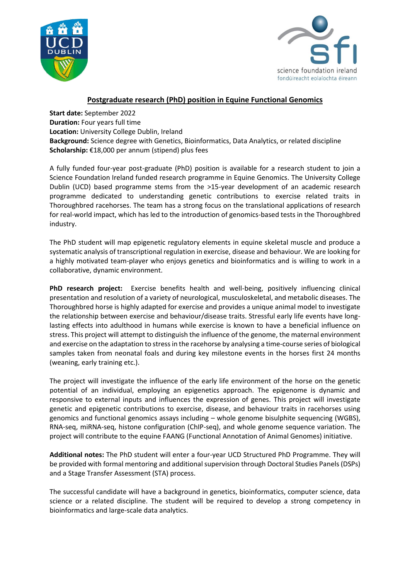



# **Postgraduate research (PhD) position in Equine Functional Genomics**

**Start date:** September 2022 **Duration:** Four years full time **Location:** University College Dublin, Ireland **Background:** Science degree with Genetics, Bioinformatics, Data Analytics, or related discipline **Scholarship:** €18,000 per annum (stipend) plus fees

A fully funded four-year post-graduate (PhD) position is available for a research student to join a Science Foundation Ireland funded research programme in Equine Genomics. The University College Dublin (UCD) based programme stems from the >15-year development of an academic research programme dedicated to understanding genetic contributions to exercise related traits in Thoroughbred racehorses. The team has a strong focus on the translational applications of research for real-world impact, which has led to the introduction of genomics-based tests in the Thoroughbred industry.

The PhD student will map epigenetic regulatory elements in equine skeletal muscle and produce a systematic analysis of transcriptional regulation in exercise, disease and behaviour. We are looking for a highly motivated team-player who enjoys genetics and bioinformatics and is willing to work in a collaborative, dynamic environment.

**PhD research project:** Exercise benefits health and well-being, positively influencing clinical presentation and resolution of a variety of neurological, musculoskeletal, and metabolic diseases. The Thoroughbred horse is highly adapted for exercise and provides a unique animal model to investigate the relationship between exercise and behaviour/disease traits. Stressful early life events have longlasting effects into adulthood in humans while exercise is known to have a beneficial influence on stress. This project will attempt to distinguish the influence of the genome, the maternal environment and exercise on the adaptation to stress in the racehorse by analysing a time-course series of biological samples taken from neonatal foals and during key milestone events in the horses first 24 months (weaning, early training etc.).

The project will investigate the influence of the early life environment of the horse on the genetic potential of an individual, employing an epigenetics approach. The epigenome is dynamic and responsive to external inputs and influences the expression of genes. This project will investigate genetic and epigenetic contributions to exercise, disease, and behaviour traits in racehorses using genomics and functional genomics assays including – whole genome bisulphite sequencing (WGBS), RNA-seq, miRNA-seq, histone configuration (ChIP-seq), and whole genome sequence variation. The project will contribute to the equine FAANG (Functional Annotation of Animal Genomes) initiative.

**Additional notes:** The PhD student will enter a four-year UCD Structured PhD Programme. They will be provided with formal mentoring and additional supervision through Doctoral Studies Panels (DSPs) and a Stage Transfer Assessment (STA) process.

The successful candidate will have a background in genetics, bioinformatics, computer science, data science or a related discipline. The student will be required to develop a strong competency in bioinformatics and large-scale data analytics.